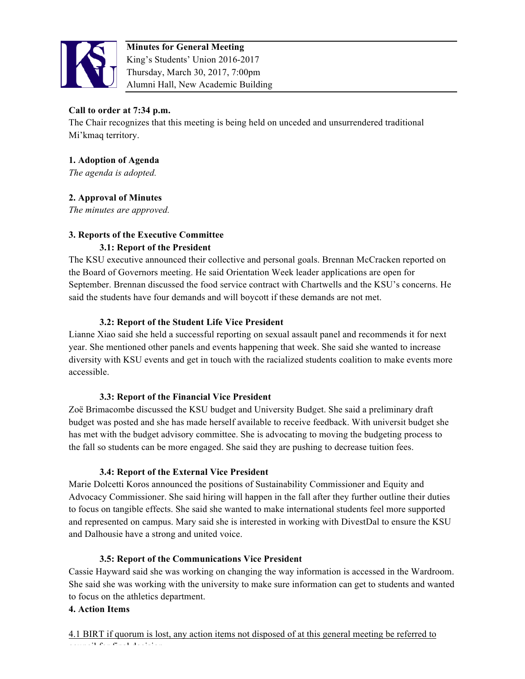

# **Call to order at 7:34 p.m.**

The Chair recognizes that this meeting is being held on unceded and unsurrendered traditional Mi'kmaq territory.

## **1. Adoption of Agenda**

*The agenda is adopted.* 

## **2. Approval of Minutes**

*The minutes are approved.* 

## **3. Reports of the Executive Committee**

### **3.1: Report of the President**

The KSU executive announced their collective and personal goals. Brennan McCracken reported on the Board of Governors meeting. He said Orientation Week leader applications are open for September. Brennan discussed the food service contract with Chartwells and the KSU's concerns. He said the students have four demands and will boycott if these demands are not met.

### **3.2: Report of the Student Life Vice President**

Lianne Xiao said she held a successful reporting on sexual assault panel and recommends it for next year. She mentioned other panels and events happening that week. She said she wanted to increase diversity with KSU events and get in touch with the racialized students coalition to make events more accessible.

#### **3.3: Report of the Financial Vice President**

Zoë Brimacombe discussed the KSU budget and University Budget. She said a preliminary draft budget was posted and she has made herself available to receive feedback. With universit budget she has met with the budget advisory committee. She is advocating to moving the budgeting process to the fall so students can be more engaged. She said they are pushing to decrease tuition fees.

### **3.4: Report of the External Vice President**

Marie Dolcetti Koros announced the positions of Sustainability Commissioner and Equity and Advocacy Commissioner. She said hiring will happen in the fall after they further outline their duties to focus on tangible effects. She said she wanted to make international students feel more supported and represented on campus. Mary said she is interested in working with DivestDal to ensure the KSU and Dalhousie have a strong and united voice.

### **3.5: Report of the Communications Vice President**

Cassie Hayward said she was working on changing the way information is accessed in the Wardroom. She said she was working with the university to make sure information can get to students and wanted to focus on the athletics department.

#### **4. Action Items**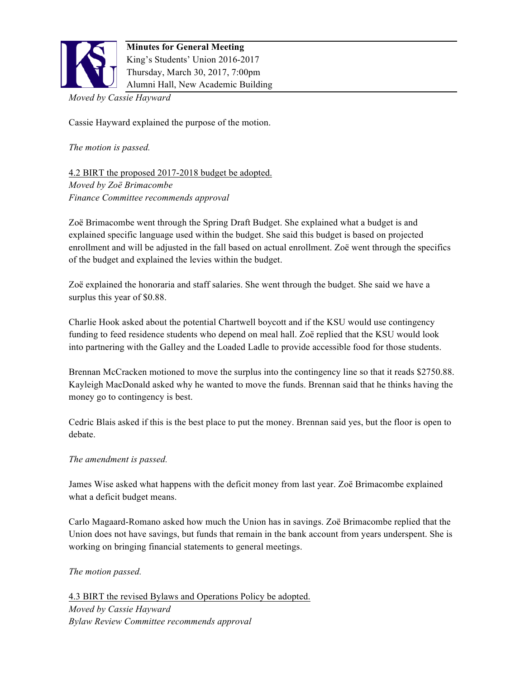

*Moved by Cassie Hayward*

Cassie Hayward explained the purpose of the motion.

*The motion is passed.* 

4.2 BIRT the proposed 2017-2018 budget be adopted. *Moved by Zoë Brimacombe Finance Committee recommends approval*

Zoë Brimacombe went through the Spring Draft Budget. She explained what a budget is and explained specific language used within the budget. She said this budget is based on projected enrollment and will be adjusted in the fall based on actual enrollment. Zoë went through the specifics of the budget and explained the levies within the budget.

Zoë explained the honoraria and staff salaries. She went through the budget. She said we have a surplus this year of \$0.88.

Charlie Hook asked about the potential Chartwell boycott and if the KSU would use contingency funding to feed residence students who depend on meal hall. Zoë replied that the KSU would look into partnering with the Galley and the Loaded Ladle to provide accessible food for those students.

Brennan McCracken motioned to move the surplus into the contingency line so that it reads \$2750.88. Kayleigh MacDonald asked why he wanted to move the funds. Brennan said that he thinks having the money go to contingency is best.

Cedric Blais asked if this is the best place to put the money. Brennan said yes, but the floor is open to debate.

### *The amendment is passed.*

James Wise asked what happens with the deficit money from last year. Zoë Brimacombe explained what a deficit budget means.

Carlo Magaard-Romano asked how much the Union has in savings. Zoë Brimacombe replied that the Union does not have savings, but funds that remain in the bank account from years underspent. She is working on bringing financial statements to general meetings.

*The motion passed.* 

4.3 BIRT the revised Bylaws and Operations Policy be adopted. *Moved by Cassie Hayward Bylaw Review Committee recommends approval*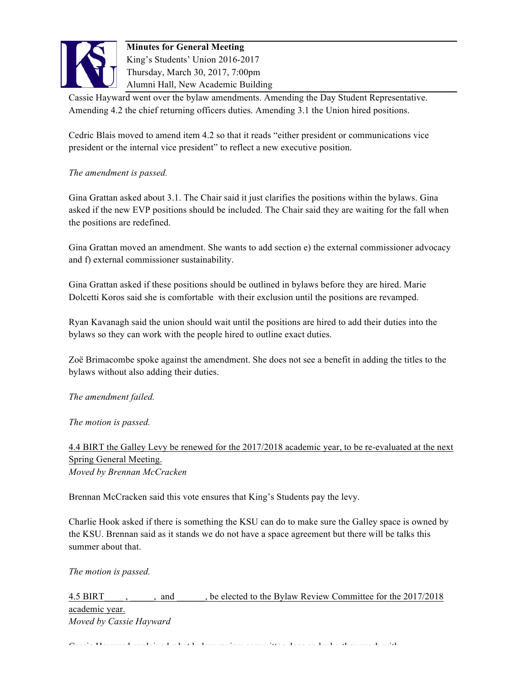

Cassie Hayward went over the bylaw amendments. Amending the Day Student Representative. Amending 4.2 the chief returning officers duties. Amending 3.1 the Union hired positions.

Cedric Blais moved to amend item 4.2 so that it reads "either president or communications vice president or the internal vice president" to reflect a new executive position.

### *The amendment is passed.*

Gina Grattan asked about 3.1. The Chair said it just clarifies the positions within the bylaws. Gina asked if the new EVP positions should be included. The Chair said they are waiting for the fall when the positions are redefined.

Gina Grattan moved an amendment. She wants to add section e) the external commissioner advocacy and f) external commissioner sustainability.

Gina Grattan asked if these positions should be outlined in bylaws before they are hired. Marie Dolcetti Koros said she is comfortable with their exclusion until the positions are revamped.

Ryan Kavanagh said the union should wait until the positions are hired to add their duties into the bylaws so they can work with the people hired to outline exact duties.

Zoë Brimacombe spoke against the amendment. She does not see a benefit in adding the titles to the bylaws without also adding their duties.

*The amendment failed.* 

*The motion is passed.* 

## 4.4 BIRT the Galley Levy be renewed for the 2017/2018 academic year, to be re-evaluated at the next Spring General Meeting. *Moved by Brennan McCracken*

Brennan McCracken said this vote ensures that King's Students pay the levy.

Charlie Hook asked if there is something the KSU can do to make sure the Galley space is owned by the KSU. Brennan said as it stands we do not have a space agreement but there will be talks this summer about that.

*The motion is passed.* 

4.5 BIRT , and , be elected to the Bylaw Review Committee for the 2017/2018 academic year. *Moved by Cassie Hayward*

Cassie Hayward explained what bylaw review committee does and who they work with.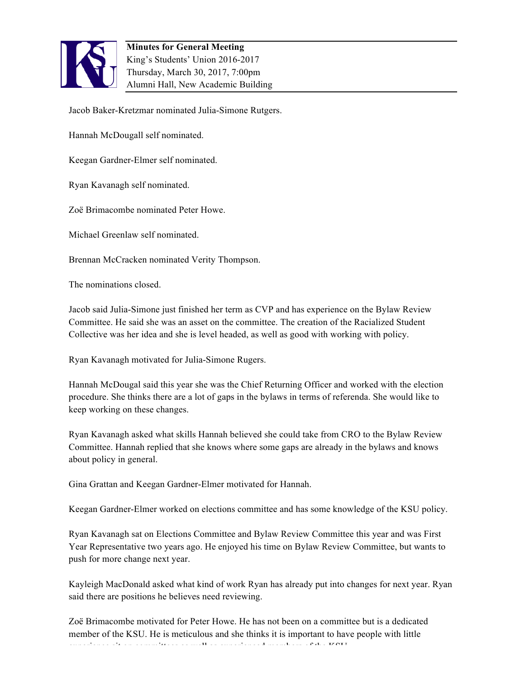

Jacob Baker-Kretzmar nominated Julia-Simone Rutgers.

Hannah McDougall self nominated.

Keegan Gardner-Elmer self nominated.

Ryan Kavanagh self nominated.

Zoë Brimacombe nominated Peter Howe.

Michael Greenlaw self nominated.

Brennan McCracken nominated Verity Thompson.

The nominations closed.

Jacob said Julia-Simone just finished her term as CVP and has experience on the Bylaw Review Committee. He said she was an asset on the committee. The creation of the Racialized Student Collective was her idea and she is level headed, as well as good with working with policy.

Ryan Kavanagh motivated for Julia-Simone Rugers.

Hannah McDougal said this year she was the Chief Returning Officer and worked with the election procedure. She thinks there are a lot of gaps in the bylaws in terms of referenda. She would like to keep working on these changes.

Ryan Kavanagh asked what skills Hannah believed she could take from CRO to the Bylaw Review Committee. Hannah replied that she knows where some gaps are already in the bylaws and knows about policy in general.

Gina Grattan and Keegan Gardner-Elmer motivated for Hannah.

Keegan Gardner-Elmer worked on elections committee and has some knowledge of the KSU policy.

Ryan Kavanagh sat on Elections Committee and Bylaw Review Committee this year and was First Year Representative two years ago. He enjoyed his time on Bylaw Review Committee, but wants to push for more change next year.

Kayleigh MacDonald asked what kind of work Ryan has already put into changes for next year. Ryan said there are positions he believes need reviewing.

Zoë Brimacombe motivated for Peter Howe. He has not been on a committee but is a dedicated member of the KSU. He is meticulous and she thinks it is important to have people with little experience site of the committees as well as well as well as well as well as well as well as well as well as w<br>The KSU as well as well as well as well as well as well as well as well as well as well as well as well as well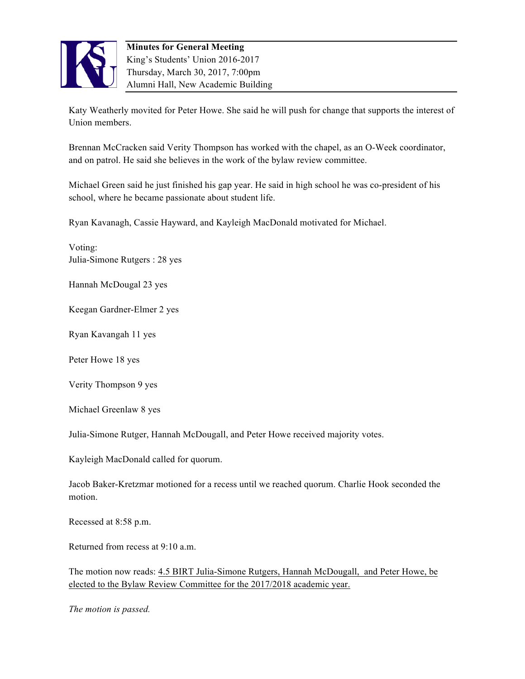

Katy Weatherly movited for Peter Howe. She said he will push for change that supports the interest of Union members.

Brennan McCracken said Verity Thompson has worked with the chapel, as an O-Week coordinator, and on patrol. He said she believes in the work of the bylaw review committee.

Michael Green said he just finished his gap year. He said in high school he was co-president of his school, where he became passionate about student life.

Ryan Kavanagh, Cassie Hayward, and Kayleigh MacDonald motivated for Michael.

Voting: Julia-Simone Rutgers : 28 yes

Hannah McDougal 23 yes

Keegan Gardner-Elmer 2 yes

Ryan Kavangah 11 yes

Peter Howe 18 yes

Verity Thompson 9 yes

Michael Greenlaw 8 yes

Julia-Simone Rutger, Hannah McDougall, and Peter Howe received majority votes.

Kayleigh MacDonald called for quorum.

Jacob Baker-Kretzmar motioned for a recess until we reached quorum. Charlie Hook seconded the motion.

Recessed at 8:58 p.m.

Returned from recess at 9:10 a.m.

The motion now reads: 4.5 BIRT Julia-Simone Rutgers, Hannah McDougall, and Peter Howe, be elected to the Bylaw Review Committee for the 2017/2018 academic year.

*The motion is passed.*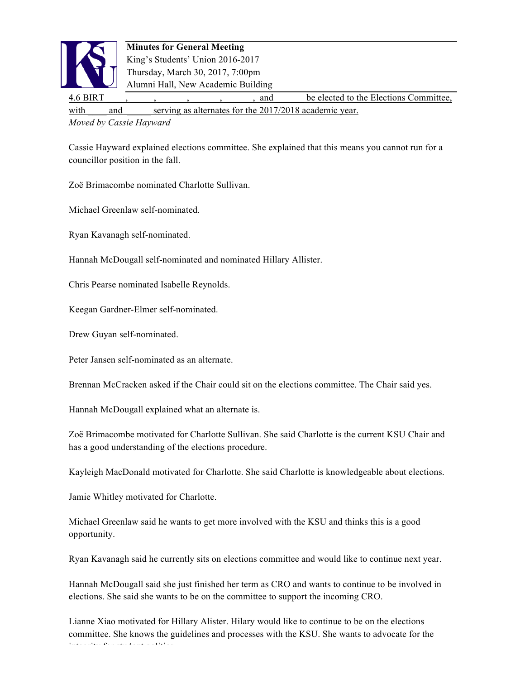

4.6 BIRT , , , , , , and be elected to the Elections Committee, with and serving as alternates for the 2017/2018 academic year.

*Moved by Cassie Hayward*

Cassie Hayward explained elections committee. She explained that this means you cannot run for a councillor position in the fall.

Zoë Brimacombe nominated Charlotte Sullivan.

Michael Greenlaw self-nominated.

Ryan Kavanagh self-nominated.

Hannah McDougall self-nominated and nominated Hillary Allister.

Chris Pearse nominated Isabelle Reynolds.

Keegan Gardner-Elmer self-nominated.

Drew Guyan self-nominated.

Peter Jansen self-nominated as an alternate.

Brennan McCracken asked if the Chair could sit on the elections committee. The Chair said yes.

Hannah McDougall explained what an alternate is.

Zoë Brimacombe motivated for Charlotte Sullivan. She said Charlotte is the current KSU Chair and has a good understanding of the elections procedure.

Kayleigh MacDonald motivated for Charlotte. She said Charlotte is knowledgeable about elections.

Jamie Whitley motivated for Charlotte.

Michael Greenlaw said he wants to get more involved with the KSU and thinks this is a good opportunity.

Ryan Kavanagh said he currently sits on elections committee and would like to continue next year.

Hannah McDougall said she just finished her term as CRO and wants to continue to be involved in elections. She said she wants to be on the committee to support the incoming CRO.

Lianne Xiao motivated for Hillary Alister. Hilary would like to continue to be on the elections committee. She knows the guidelines and processes with the KSU. She wants to advocate for the integrity for student politics.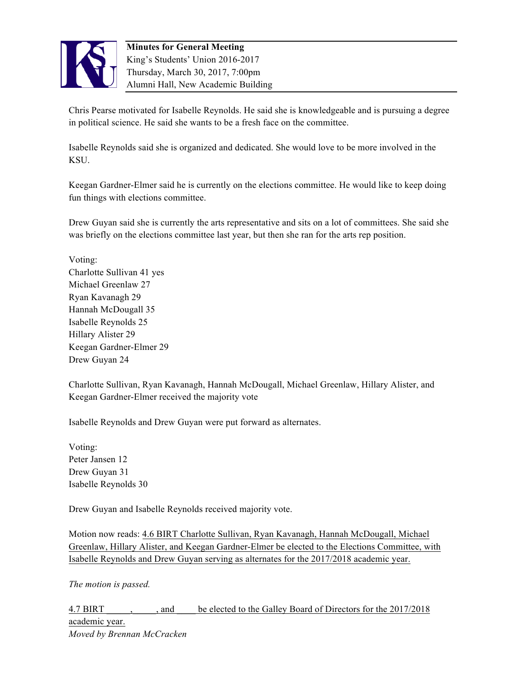

Chris Pearse motivated for Isabelle Reynolds. He said she is knowledgeable and is pursuing a degree in political science. He said she wants to be a fresh face on the committee.

Isabelle Reynolds said she is organized and dedicated. She would love to be more involved in the KSU.

Keegan Gardner-Elmer said he is currently on the elections committee. He would like to keep doing fun things with elections committee.

Drew Guyan said she is currently the arts representative and sits on a lot of committees. She said she was briefly on the elections committee last year, but then she ran for the arts rep position.

Voting: Charlotte Sullivan 41 yes Michael Greenlaw 27 Ryan Kavanagh 29 Hannah McDougall 35 Isabelle Reynolds 25 Hillary Alister 29 Keegan Gardner-Elmer 29 Drew Guyan 24

Charlotte Sullivan, Ryan Kavanagh, Hannah McDougall, Michael Greenlaw, Hillary Alister, and Keegan Gardner-Elmer received the majority vote

Isabelle Reynolds and Drew Guyan were put forward as alternates.

Voting: Peter Jansen 12 Drew Guyan 31 Isabelle Reynolds 30

Drew Guyan and Isabelle Reynolds received majority vote.

Motion now reads: 4.6 BIRT Charlotte Sullivan, Ryan Kavanagh, Hannah McDougall, Michael Greenlaw, Hillary Alister, and Keegan Gardner-Elmer be elected to the Elections Committee, with Isabelle Reynolds and Drew Guyan serving as alternates for the 2017/2018 academic year.

*The motion is passed.* 

4.7 BIRT  $\qquad \qquad$ , and be elected to the Galley Board of Directors for the 2017/2018 academic year. *Moved by Brennan McCracken*